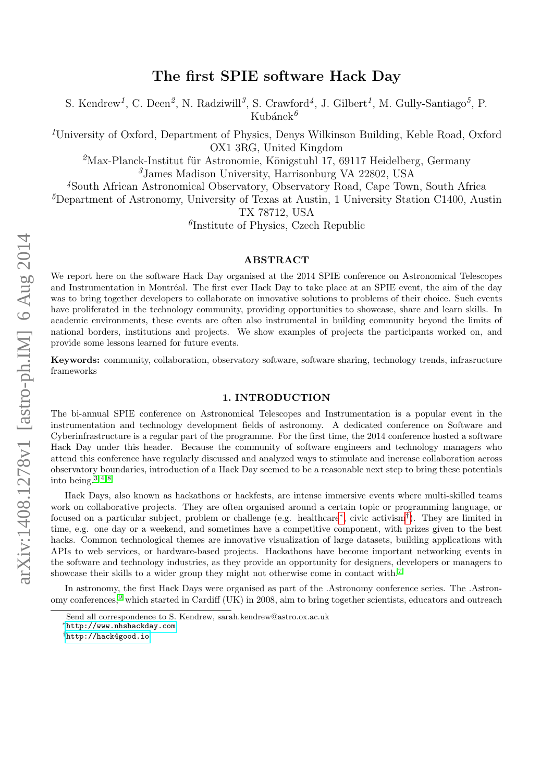# The first SPIE software Hack Day

S. Kendrew<sup>1</sup>, C. Deen<sup>2</sup>, N. Radziwill<sup>3</sup>, S. Crawford<sup>4</sup>, J. Gilbert<sup>1</sup>, M. Gully-Santiago<sup>5</sup>, P. Kubánek $^6$ 

<sup>1</sup>University of Oxford, Department of Physics, Denys Wilkinson Building, Keble Road, Oxford OX1 3RG, United Kingdom

 $\textsuperscript{2}$ Max-Planck-Institut für Astronomie, Königstuhl 17, 69117 Heidelberg, Germany

 $3$ James Madison University, Harrisonburg VA 22802, USA

<sup>4</sup>South African Astronomical Observatory, Observatory Road, Cape Town, South Africa

 ${}^5$ Department of Astronomy, University of Texas at Austin, 1 University Station C1400, Austin

TX 78712, USA

6 Institute of Physics, Czech Republic

#### ABSTRACT

We report here on the software Hack Day organised at the 2014 SPIE conference on Astronomical Telescopes and Instrumentation in Montréal. The first ever Hack Day to take place at an SPIE event, the aim of the day was to bring together developers to collaborate on innovative solutions to problems of their choice. Such events have proliferated in the technology community, providing opportunities to showcase, share and learn skills. In academic environments, these events are often also instrumental in building community beyond the limits of national borders, institutions and projects. We show examples of projects the participants worked on, and provide some lessons learned for future events.

Keywords: community, collaboration, observatory software, software sharing, technology trends, infrasructure frameworks

#### 1. INTRODUCTION

The bi-annual SPIE conference on Astronomical Telescopes and Instrumentation is a popular event in the instrumentation and technology development fields of astronomy. A dedicated conference on Software and Cyberinfrastructure is a regular part of the programme. For the first time, the 2014 conference hosted a software Hack Day under this header. Because the community of software engineers and technology managers who attend this conference have regularly discussed and analyzed ways to stimulate and increase collaboration across observatory boundaries, introduction of a Hack Day seemed to be a reasonable next step to bring these potentials into being.[3,](#page-3-0) [4,](#page-3-1) [8](#page-4-0)

Hack Days, also known as hackathons or hackfests, are intense immersive events where multi-skilled teams work on collaborative projects. They are often organised around a certain topic or programming language, or focused on a particular subject, problem or challenge (e.g. healthcare[∗](#page-0-0) , civic activism[†](#page-0-1) ). They are limited in time, e.g. one day or a weekend, and sometimes have a competitive component, with prizes given to the best hacks. Common technological themes are innovative visualization of large datasets, building applications with APIs to web services, or hardware-based projects. Hackathons have become important networking events in the software and technology industries, as they provide an opportunity for designers, developers or managers to showcase their skills to a wider group they might not otherwise come in contact with.[7](#page-4-1)

In astronomy, the first Hack Days were organised as part of the .Astronomy conference series. The .Astronomy conferences,[9](#page-4-2) which started in Cardiff (UK) in 2008, aim to bring together scientists, educators and outreach

Send all correspondence to S. Kendrew, sarah.kendrew@astro.ox.ac.uk

<span id="page-0-0"></span><sup>∗</sup> <http://www.nhshackday.com>

<span id="page-0-1"></span><sup>†</sup> <http://hack4good.io>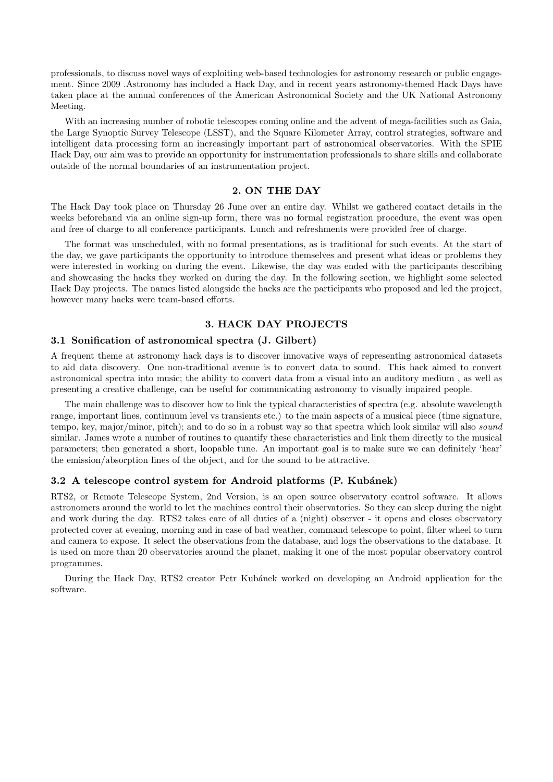professionals, to discuss novel ways of exploiting web-based technologies for astronomy research or public engagement. Since 2009 .Astronomy has included a Hack Day, and in recent years astronomy-themed Hack Days have taken place at the annual conferences of the American Astronomical Society and the UK National Astronomy Meeting.

With an increasing number of robotic telescopes coming online and the advent of mega-facilities such as Gaia, the Large Synoptic Survey Telescope (LSST), and the Square Kilometer Array, control strategies, software and intelligent data processing form an increasingly important part of astronomical observatories. With the SPIE Hack Day, our aim was to provide an opportunity for instrumentation professionals to share skills and collaborate outside of the normal boundaries of an instrumentation project.

#### 2. ON THE DAY

The Hack Day took place on Thursday 26 June over an entire day. Whilst we gathered contact details in the weeks beforehand via an online sign-up form, there was no formal registration procedure, the event was open and free of charge to all conference participants. Lunch and refreshments were provided free of charge.

The format was unscheduled, with no formal presentations, as is traditional for such events. At the start of the day, we gave participants the opportunity to introduce themselves and present what ideas or problems they were interested in working on during the event. Likewise, the day was ended with the participants describing and showcasing the hacks they worked on during the day. In the following section, we highlight some selected Hack Day projects. The names listed alongside the hacks are the participants who proposed and led the project, however many hacks were team-based efforts.

# 3. HACK DAY PROJECTS

## 3.1 Sonification of astronomical spectra (J. Gilbert)

A frequent theme at astronomy hack days is to discover innovative ways of representing astronomical datasets to aid data discovery. One non-traditional avenue is to convert data to sound. This hack aimed to convert astronomical spectra into music; the ability to convert data from a visual into an auditory medium , as well as presenting a creative challenge, can be useful for communicating astronomy to visually impaired people.

The main challenge was to discover how to link the typical characteristics of spectra (e.g. absolute wavelength range, important lines, continuum level vs transients etc.) to the main aspects of a musical piece (time signature, tempo, key, major/minor, pitch); and to do so in a robust way so that spectra which look similar will also sound similar. James wrote a number of routines to quantify these characteristics and link them directly to the musical parameters; then generated a short, loopable tune. An important goal is to make sure we can definitely 'hear' the emission/absorption lines of the object, and for the sound to be attractive.

#### 3.2 A telescope control system for Android platforms (P. Kubánek)

RTS2, or Remote Telescope System, 2nd Version, is an open source observatory control software. It allows astronomers around the world to let the machines control their observatories. So they can sleep during the night and work during the day. RTS2 takes care of all duties of a (night) observer - it opens and closes observatory protected cover at evening, morning and in case of bad weather, command telescope to point, filter wheel to turn and camera to expose. It select the observations from the database, and logs the observations to the database. It is used on more than 20 observatories around the planet, making it one of the most popular observatory control programmes.

During the Hack Day, RTS2 creator Petr Kubánek worked on developing an Android application for the software.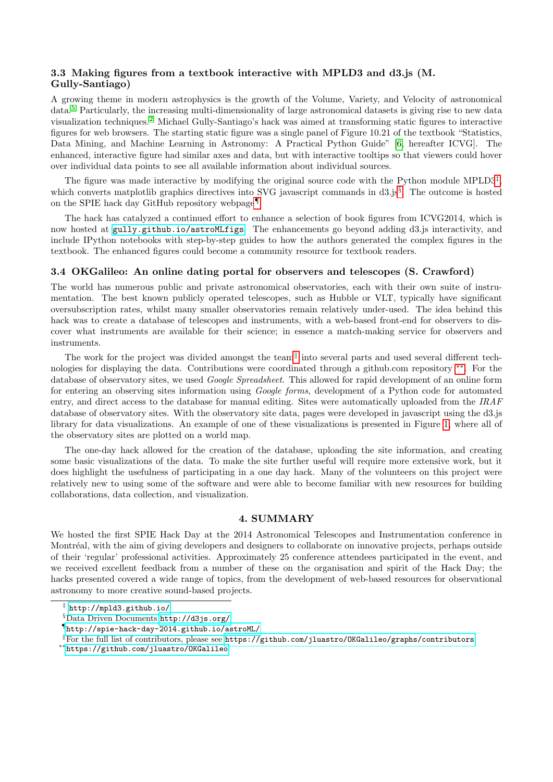### 3.3 Making figures from a textbook interactive with MPLD3 and d3.js (M. Gully-Santiago)

A growing theme in modern astrophysics is the growth of the Volume, Variety, and Velocity of astronomical data.[5](#page-4-3) Particularly, the increasing multi-dimensionality of large astronomical datasets is giving rise to new data visualization techniques.[2](#page-3-2) Michael Gully-Santiago's hack was aimed at transforming static figures to interactive figures for web browsers. The starting static figure was a single panel of Figure 10.21 of the textbook "Statistics, Data Mining, and Machine Learning in Astronomy: A Practical Python Guide" [\[6,](#page-4-4) hereafter ICVG]. The enhanced, interactive figure had similar axes and data, but with interactive tooltips so that viewers could hover over individual data points to see all available information about individual sources.

The figure was made interactive by modifying the original source code with the Python module MPLD3<sup>[‡](#page-2-0)</sup>, which converts matplotlib graphics directives into SVG javascript commands in d3.js<sup>[§](#page-2-1)</sup>. The outcome is hosted on the SPIE hack day GitHub repository webpage[¶](#page-2-2).

The hack has catalyzed a continued effort to enhance a selection of book figures from ICVG2014, which is now hosted at <gully.github.io/astroMLfigs>. The enhancements go beyond adding d3.js interactivity, and include IPython notebooks with step-by-step guides to how the authors generated the complex figures in the textbook. The enhanced figures could become a community resource for textbook readers.

#### 3.4 OKGalileo: An online dating portal for observers and telescopes (S. Crawford)

The world has numerous public and private astronomical observatories, each with their own suite of instrumentation. The best known publicly operated telescopes, such as Hubble or VLT, typically have significant oversubscription rates, whilst many smaller observatories remain relatively under-used. The idea behind this hack was to create a database of telescopes and instruments, with a web-based front-end for observers to discover what instruments are available for their science; in essence a match-making service for observers and instruments.

The wor[k](#page-2-3) for the project was divided amongst the team<sup>||</sup> into several parts and used several different technologies for displaying the data. Contributions were coordinated through a github.com repository [∗∗](#page-2-4). For the database of observatory sites, we used *Google Spreadsheet*. This allowed for rapid development of an online form for entering an observing sites information using Google forms, development of a Python code for automated entry, and direct access to the database for manual editing. Sites were automatically uploaded from the IRAF database of observatory sites. With the observatory site data, pages were developed in javascript using the d3.js library for data visualizations. An example of one of these visualizations is presented in Figure [1,](#page-3-3) where all of the observatory sites are plotted on a world map.

The one-day hack allowed for the creation of the database, uploading the site information, and creating some basic visualizations of the data. To make the site further useful will require more extensive work, but it does highlight the usefulness of participating in a one day hack. Many of the volunteers on this project were relatively new to using some of the software and were able to become familiar with new resources for building collaborations, data collection, and visualization.

#### 4. SUMMARY

We hosted the first SPIE Hack Day at the 2014 Astronomical Telescopes and Instrumentation conference in Montréal, with the aim of giving developers and designers to collaborate on innovative projects, perhaps outside of their 'regular' professional activities. Approximately 25 conference attendees participated in the event, and we received excellent feedback from a number of these on the organisation and spirit of the Hack Day; the hacks presented covered a wide range of topics, from the development of web-based resources for observational astronomy to more creative sound-based projects.

<span id="page-2-0"></span><sup>‡</sup> <http://mpld3.github.io/>

<span id="page-2-1"></span><sup>§</sup>Data Driven Documents <http://d3js.org/>

<span id="page-2-2"></span><sup>¶</sup> <http://spie-hack-day-2014.github.io/astroML/>

<span id="page-2-3"></span> $\mathbb{F}$  For the full list of contributors, please see <https://github.com/jluastro/OKGalileo/graphs/contributors>

<span id="page-2-4"></span><sup>∗∗</sup><https://github.com/jluastro/OKGalileo>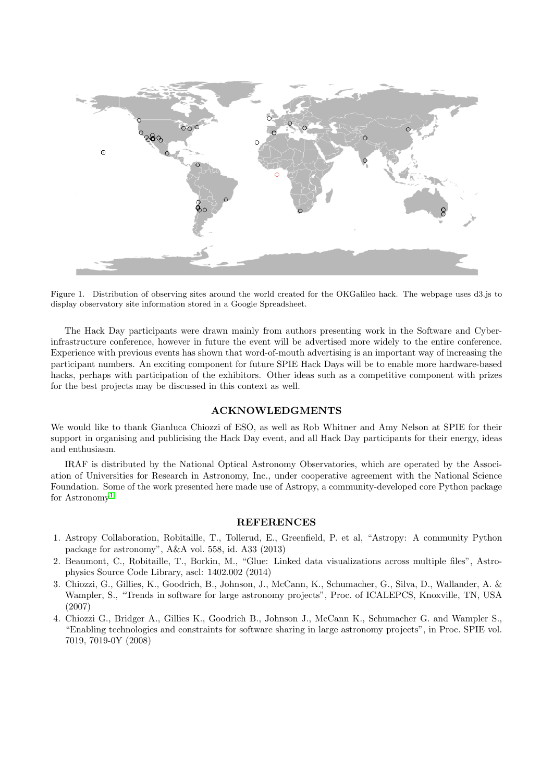

<span id="page-3-3"></span>Figure 1. Distribution of observing sites around the world created for the OKGalileo hack. The webpage uses d3.js to display observatory site information stored in a Google Spreadsheet.

The Hack Day participants were drawn mainly from authors presenting work in the Software and Cyberinfrastructure conference, however in future the event will be advertised more widely to the entire conference. Experience with previous events has shown that word-of-mouth advertising is an important way of increasing the participant numbers. An exciting component for future SPIE Hack Days will be to enable more hardware-based hacks, perhaps with participation of the exhibitors. Other ideas such as a competitive component with prizes for the best projects may be discussed in this context as well.

#### ACKNOWLEDGMENTS

We would like to thank Gianluca Chiozzi of ESO, as well as Rob Whitner and Amy Nelson at SPIE for their support in organising and publicising the Hack Day event, and all Hack Day participants for their energy, ideas and enthusiasm.

IRAF is distributed by the National Optical Astronomy Observatories, which are operated by the Association of Universities for Research in Astronomy, Inc., under cooperative agreement with the National Science Foundation. Some of the work presented here made use of Astropy, a community-developed core Python package for Astronomy<sup>[1](#page-3-4)</sup>

#### **REFERENCES**

- <span id="page-3-4"></span>1. Astropy Collaboration, Robitaille, T., Tollerud, E., Greenfield, P. et al, "Astropy: A community Python package for astronomy", A&A vol. 558, id. A33 (2013)
- <span id="page-3-2"></span>2. Beaumont, C., Robitaille, T., Borkin, M., "Glue: Linked data visualizations across multiple files", Astrophysics Source Code Library, ascl: 1402.002 (2014)
- <span id="page-3-0"></span>3. Chiozzi, G., Gillies, K., Goodrich, B., Johnson, J., McCann, K., Schumacher, G., Silva, D., Wallander, A. & Wampler, S., "Trends in software for large astronomy projects", Proc. of ICALEPCS, Knoxville, TN, USA (2007)
- <span id="page-3-1"></span>4. Chiozzi G., Bridger A., Gillies K., Goodrich B., Johnson J., McCann K., Schumacher G. and Wampler S., "Enabling technologies and constraints for software sharing in large astronomy projects", in Proc. SPIE vol. 7019, 7019-0Y (2008)